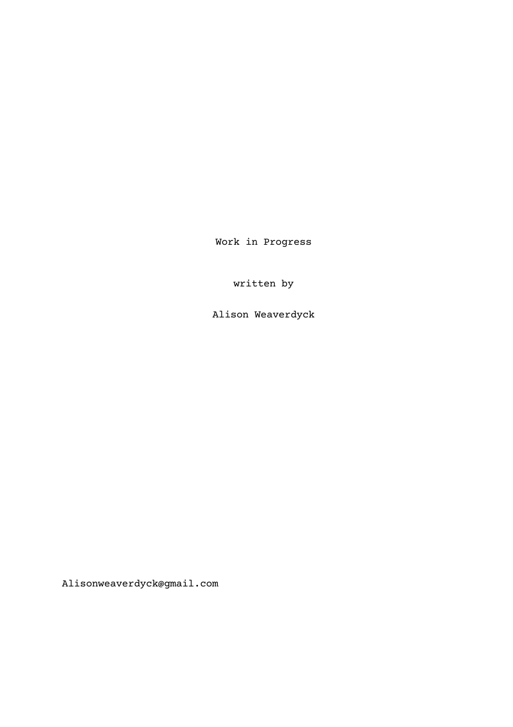Work in Progress

written by

Alison Weaverdyck

Alisonweaverdyck@gmail.com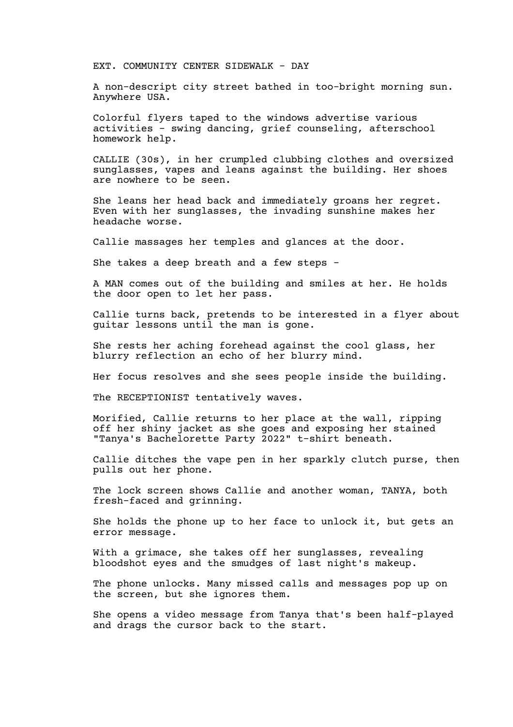EXT. COMMUNITY CENTER SIDEWALK - DAY

A non-descript city street bathed in too-bright morning sun. Anywhere USA.

Colorful flyers taped to the windows advertise various activities - swing dancing, grief counseling, afterschool homework help.

CALLIE (30s), in her crumpled clubbing clothes and oversized sunglasses, vapes and leans against the building. Her shoes are nowhere to be seen.

She leans her head back and immediately groans her regret. Even with her sunglasses, the invading sunshine makes her headache worse.

Callie massages her temples and glances at the door.

She takes a deep breath and a few steps -

A MAN comes out of the building and smiles at her. He holds the door open to let her pass.

Callie turns back, pretends to be interested in a flyer about guitar lessons until the man is gone.

She rests her aching forehead against the cool glass, her blurry reflection an echo of her blurry mind.

Her focus resolves and she sees people inside the building.

The RECEPTIONIST tentatively waves.

Morified, Callie returns to her place at the wall, ripping off her shiny jacket as she goes and exposing her stained "Tanya's Bachelorette Party 2022" t-shirt beneath.

Callie ditches the vape pen in her sparkly clutch purse, then pulls out her phone.

The lock screen shows Callie and another woman, TANYA, both fresh-faced and grinning.

She holds the phone up to her face to unlock it, but gets an error message.

With a grimace, she takes off her sunglasses, revealing bloodshot eyes and the smudges of last night's makeup.

The phone unlocks. Many missed calls and messages pop up on the screen, but she ignores them.

She opens a video message from Tanya that's been half-played and drags the cursor back to the start.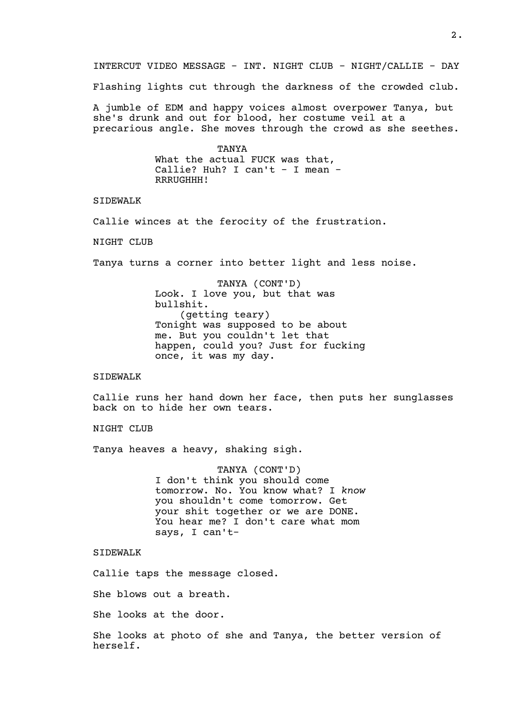INTERCUT VIDEO MESSAGE - INT. NIGHT CLUB - NIGHT/CALLIE - DAY

Flashing lights cut through the darkness of the crowded club.

A jumble of EDM and happy voices almost overpower Tanya, but she's drunk and out for blood, her costume veil at a precarious angle. She moves through the crowd as she seethes.

> TANYA What the actual FUCK was that, Callie? Huh? I can't - I mean -RRRUGHHH!

SIDEWALK

Callie winces at the ferocity of the frustration.

NIGHT CLUB

Tanya turns a corner into better light and less noise.

TANYA (CONT'D) Look. I love you, but that was bullshit. (getting teary) Tonight was supposed to be about me. But you couldn't let that happen, could you? Just for fucking once, it was my day.

## SIDEWALK

Callie runs her hand down her face, then puts her sunglasses back on to hide her own tears.

NIGHT CLUB

Tanya heaves a heavy, shaking sigh.

TANYA (CONT'D) I don't think you should come tomorrow. No. You know what? I *know* you shouldn't come tomorrow. Get your shit together or we are DONE. You hear me? I don't care what mom says, I can't-

SIDEWALK

Callie taps the message closed.

She blows out a breath.

She looks at the door.

She looks at photo of she and Tanya, the better version of herself.